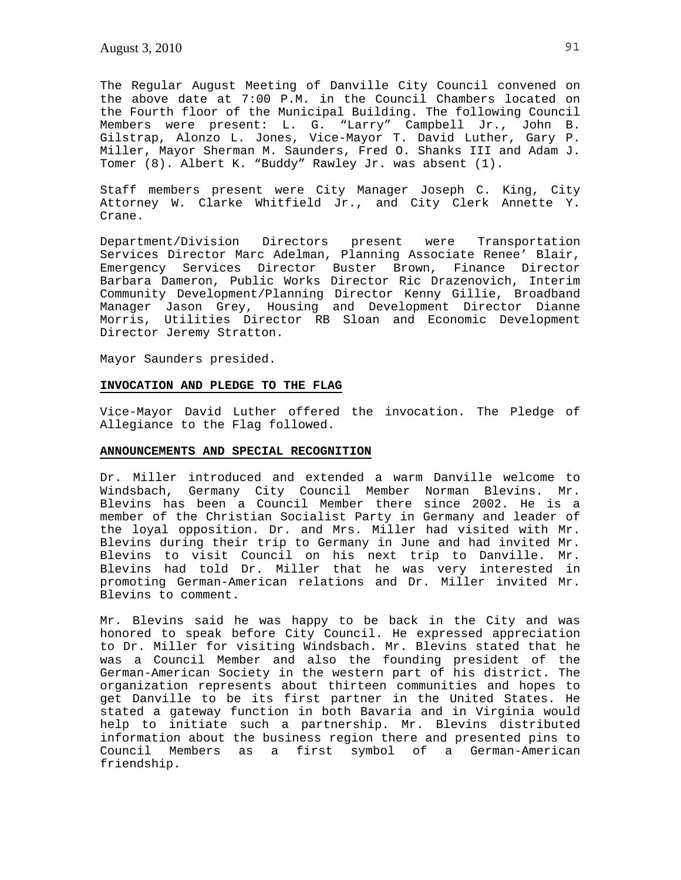The Regular August Meeting of Danville City Council convened on the above date at 7:00 P.M. in the Council Chambers located on the Fourth floor of the Municipal Building. The following Council Members were present: L. G. "Larry" Campbell Jr., John B. Gilstrap, Alonzo L. Jones, Vice-Mayor T. David Luther, Gary P. Miller, Mayor Sherman M. Saunders, Fred O. Shanks III and Adam J. Tomer (8). Albert K. "Buddy" Rawley Jr. was absent (1).

Staff members present were City Manager Joseph C. King, City Attorney W. Clarke Whitfield Jr., and City Clerk Annette Y. Crane.

Department/Division Directors present were Transportation Services Director Marc Adelman, Planning Associate Renee' Blair, Emergency Services Director Buster Brown, Finance Director Barbara Dameron, Public Works Director Ric Drazenovich, Interim Community Development/Planning Director Kenny Gillie, Broadband Manager Jason Grey, Housing and Development Director Dianne Morris, Utilities Director RB Sloan and Economic Development Director Jeremy Stratton.

Mayor Saunders presided.

# **INVOCATION AND PLEDGE TO THE FLAG**

Vice-Mayor David Luther offered the invocation. The Pledge of Allegiance to the Flag followed.

### **ANNOUNCEMENTS AND SPECIAL RECOGNITION**

Dr. Miller introduced and extended a warm Danville welcome to Windsbach, Germany City Council Member Norman Blevins. Mr. Blevins has been a Council Member there since 2002. He is a member of the Christian Socialist Party in Germany and leader of the loyal opposition. Dr. and Mrs. Miller had visited with Mr. Blevins during their trip to Germany in June and had invited Mr. Blevins to visit Council on his next trip to Danville. Mr. Blevins had told Dr. Miller that he was very interested in promoting German-American relations and Dr. Miller invited Mr. Blevins to comment.

Mr. Blevins said he was happy to be back in the City and was honored to speak before City Council. He expressed appreciation to Dr. Miller for visiting Windsbach. Mr. Blevins stated that he was a Council Member and also the founding president of the German-American Society in the western part of his district. The organization represents about thirteen communities and hopes to get Danville to be its first partner in the United States. He stated a gateway function in both Bavaria and in Virginia would help to initiate such a partnership. Mr. Blevins distributed information about the business region there and presented pins to Council Members as a first symbol of a German-American friendship.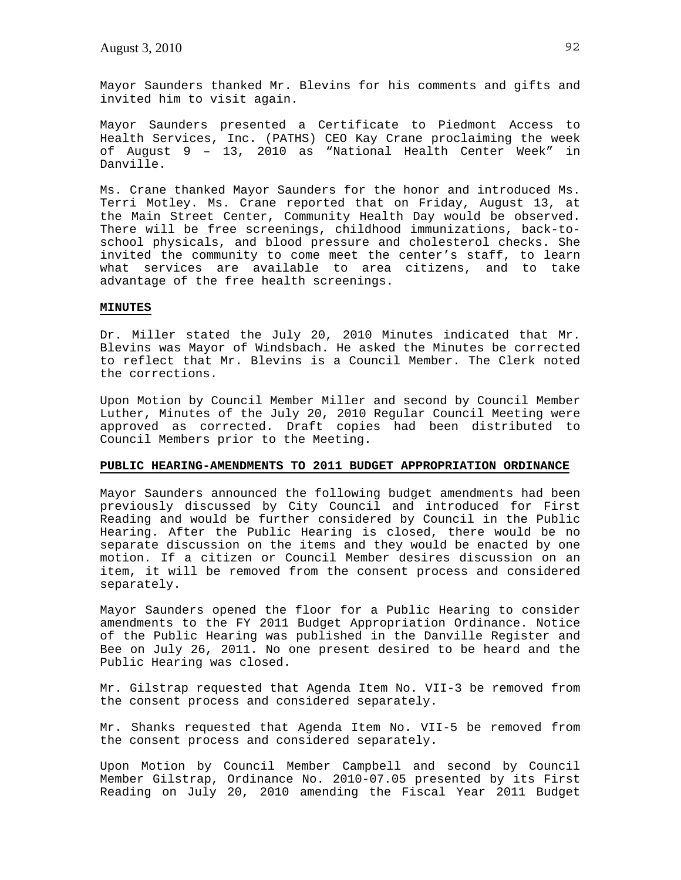Mayor Saunders thanked Mr. Blevins for his comments and gifts and invited him to visit again.

Mayor Saunders presented a Certificate to Piedmont Access to Health Services, Inc. (PATHS) CEO Kay Crane proclaiming the week of August 9 – 13, 2010 as "National Health Center Week" in Danville.

Ms. Crane thanked Mayor Saunders for the honor and introduced Ms. Terri Motley. Ms. Crane reported that on Friday, August 13, at the Main Street Center, Community Health Day would be observed. There will be free screenings, childhood immunizations, back-toschool physicals, and blood pressure and cholesterol checks. She invited the community to come meet the center's staff, to learn what services are available to area citizens, and to take advantage of the free health screenings.

### **MINUTES**

Dr. Miller stated the July 20, 2010 Minutes indicated that Mr. Blevins was Mayor of Windsbach. He asked the Minutes be corrected to reflect that Mr. Blevins is a Council Member. The Clerk noted the corrections.

Upon Motion by Council Member Miller and second by Council Member Luther, Minutes of the July 20, 2010 Regular Council Meeting were approved as corrected. Draft copies had been distributed to Council Members prior to the Meeting.

### **PUBLIC HEARING-AMENDMENTS TO 2011 BUDGET APPROPRIATION ORDINANCE**

Mayor Saunders announced the following budget amendments had been previously discussed by City Council and introduced for First Reading and would be further considered by Council in the Public Hearing. After the Public Hearing is closed, there would be no separate discussion on the items and they would be enacted by one motion. If a citizen or Council Member desires discussion on an item, it will be removed from the consent process and considered separately.

Mayor Saunders opened the floor for a Public Hearing to consider amendments to the FY 2011 Budget Appropriation Ordinance. Notice of the Public Hearing was published in the Danville Register and Bee on July 26, 2011. No one present desired to be heard and the Public Hearing was closed.

Mr. Gilstrap requested that Agenda Item No. VII-3 be removed from the consent process and considered separately.

Mr. Shanks requested that Agenda Item No. VII-5 be removed from the consent process and considered separately.

Upon Motion by Council Member Campbell and second by Council Member Gilstrap, Ordinance No. 2010-07.05 presented by its First Reading on July 20, 2010 amending the Fiscal Year 2011 Budget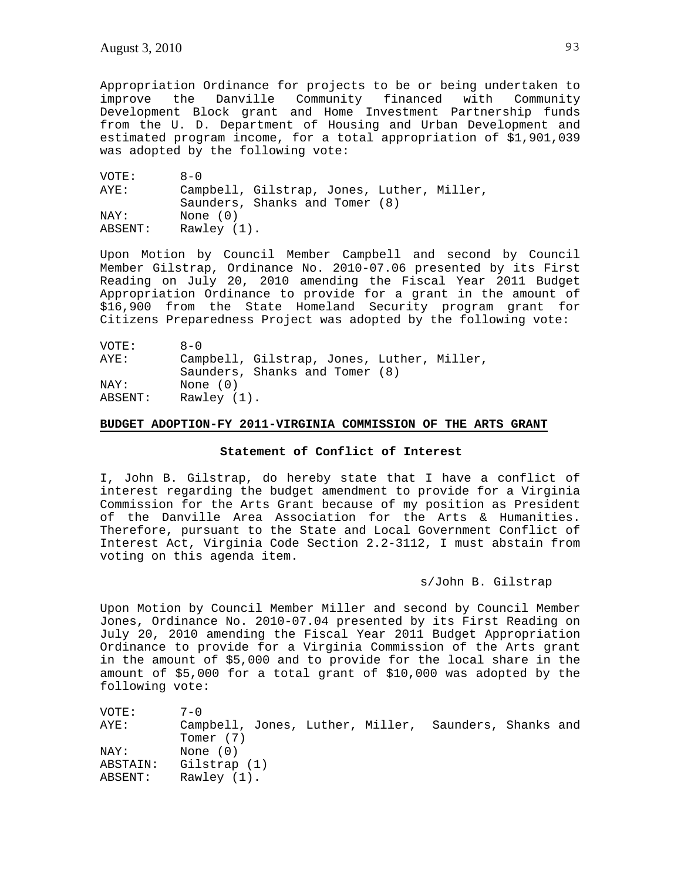Appropriation Ordinance for projects to be or being undertaken to improve the Danville Community financed with Community Development Block grant and Home Investment Partnership funds from the U. D. Department of Housing and Urban Development and estimated program income, for a total appropriation of \$1,901,039 was adopted by the following vote:

| VOTE:   | $A - 0$                                    |
|---------|--------------------------------------------|
| AYE:    | Campbell, Gilstrap, Jones, Luther, Miller, |
|         | Saunders, Shanks and Tomer (8)             |
| NAY:    | None $(0)$                                 |
| ABSENT: | Rawley (1).                                |

Upon Motion by Council Member Campbell and second by Council Member Gilstrap, Ordinance No. 2010-07.06 presented by its First Reading on July 20, 2010 amending the Fiscal Year 2011 Budget Appropriation Ordinance to provide for a grant in the amount of \$16,900 from the State Homeland Security program grant for Citizens Preparedness Project was adopted by the following vote:

| VOTE:   | $A - 0$                                    |
|---------|--------------------------------------------|
| AYE:    | Campbell, Gilstrap, Jones, Luther, Miller, |
|         | Saunders, Shanks and Tomer (8)             |
| NAY:    | None $(0)$                                 |
| ABSENT: | Rawley (1).                                |

# **BUDGET ADOPTION-FY 2011-VIRGINIA COMMISSION OF THE ARTS GRANT**

# **Statement of Conflict of Interest**

I, John B. Gilstrap, do hereby state that I have a conflict of interest regarding the budget amendment to provide for a Virginia Commission for the Arts Grant because of my position as President of the Danville Area Association for the Arts & Humanities. Therefore, pursuant to the State and Local Government Conflict of Interest Act, Virginia Code Section 2.2-3112, I must abstain from voting on this agenda item.

# s/John B. Gilstrap

Upon Motion by Council Member Miller and second by Council Member Jones, Ordinance No. 2010-07.04 presented by its First Reading on July 20, 2010 amending the Fiscal Year 2011 Budget Appropriation Ordinance to provide for a Virginia Commission of the Arts grant in the amount of \$5,000 and to provide for the local share in the amount of \$5,000 for a total grant of \$10,000 was adopted by the following vote:

| VOTE:    | $7 - 0$                                               |
|----------|-------------------------------------------------------|
| AYE:     | Campbell, Jones, Luther, Miller, Saunders, Shanks and |
|          | Tomer (7)                                             |
| NAY:     | None (0)                                              |
| ABSTAIN: | Gilstrap (1)                                          |
| ABSENT:  | Rawley $(1)$ .                                        |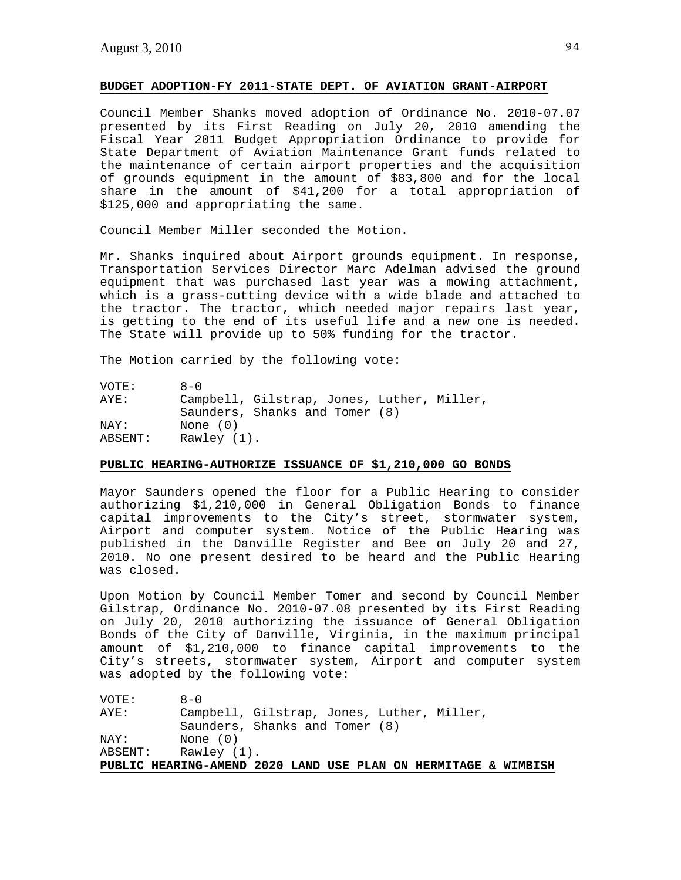# **BUDGET ADOPTION-FY 2011-STATE DEPT. OF AVIATION GRANT-AIRPORT**

Council Member Shanks moved adoption of Ordinance No. 2010-07.07 presented by its First Reading on July 20, 2010 amending the Fiscal Year 2011 Budget Appropriation Ordinance to provide for State Department of Aviation Maintenance Grant funds related to the maintenance of certain airport properties and the acquisition of grounds equipment in the amount of \$83,800 and for the local share in the amount of \$41,200 for a total appropriation of \$125,000 and appropriating the same.

Council Member Miller seconded the Motion.

Mr. Shanks inquired about Airport grounds equipment. In response, Transportation Services Director Marc Adelman advised the ground equipment that was purchased last year was a mowing attachment, which is a grass-cutting device with a wide blade and attached to the tractor. The tractor, which needed major repairs last year, is getting to the end of its useful life and a new one is needed. The State will provide up to 50% funding for the tractor.

The Motion carried by the following vote:

| VOTE:   | $R - N$                                    |
|---------|--------------------------------------------|
| AYE:    | Campbell, Gilstrap, Jones, Luther, Miller, |
|         | Saunders, Shanks and Tomer (8)             |
| NAY:    | None $(0)$                                 |
| ABSENT: | Rawley (1).                                |

# **PUBLIC HEARING-AUTHORIZE ISSUANCE OF \$1,210,000 GO BONDS**

Mayor Saunders opened the floor for a Public Hearing to consider authorizing \$1,210,000 in General Obligation Bonds to finance capital improvements to the City's street, stormwater system, Airport and computer system. Notice of the Public Hearing was published in the Danville Register and Bee on July 20 and 27, 2010. No one present desired to be heard and the Public Hearing was closed.

Upon Motion by Council Member Tomer and second by Council Member Gilstrap, Ordinance No. 2010-07.08 presented by its First Reading on July 20, 2010 authorizing the issuance of General Obligation Bonds of the City of Danville, Virginia, in the maximum principal amount of \$1,210,000 to finance capital improvements to the City's streets, stormwater system, Airport and computer system was adopted by the following vote:

| VOTE:   | $R - N$                                                        |
|---------|----------------------------------------------------------------|
| AYE:    | Campbell, Gilstrap, Jones, Luther, Miller,                     |
|         | Saunders, Shanks and Tomer (8)                                 |
| NAY:    | None $(0)$                                                     |
| ABSENT: | Rawley (1).                                                    |
|         | PUBLIC HEARING-AMEND 2020 LAND USE PLAN ON HERMITAGE & WIMBISH |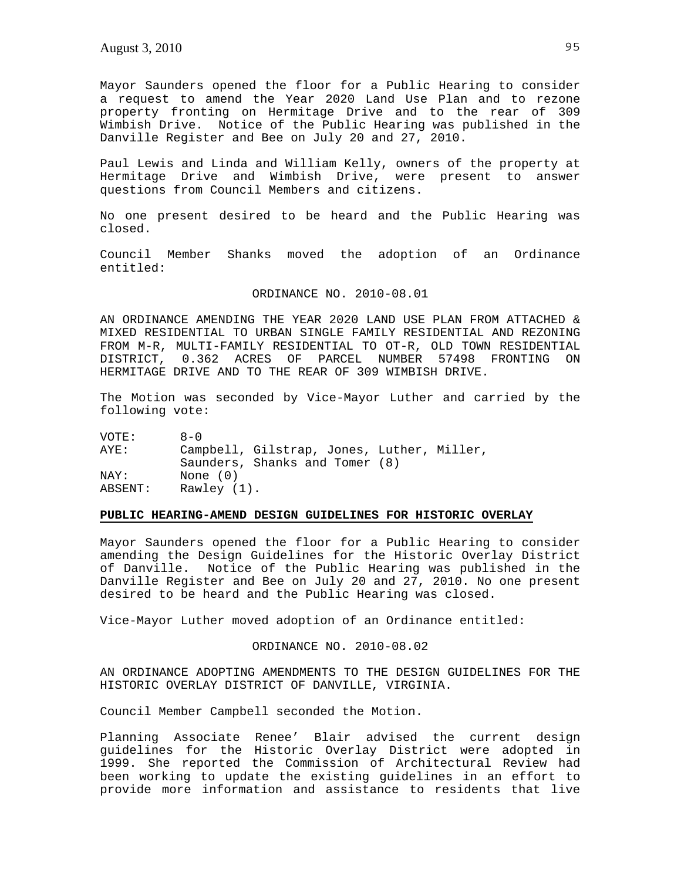Mayor Saunders opened the floor for a Public Hearing to consider a request to amend the Year 2020 Land Use Plan and to rezone property fronting on Hermitage Drive and to the rear of 309 Wimbish Drive. Notice of the Public Hearing was published in the Danville Register and Bee on July 20 and 27, 2010.

Paul Lewis and Linda and William Kelly, owners of the property at Hermitage Drive and Wimbish Drive, were present to answer questions from Council Members and citizens.

No one present desired to be heard and the Public Hearing was closed.

Council Member Shanks moved the adoption of an Ordinance entitled:

#### ORDINANCE NO. 2010-08.01

AN ORDINANCE AMENDING THE YEAR 2020 LAND USE PLAN FROM ATTACHED & MIXED RESIDENTIAL TO URBAN SINGLE FAMILY RESIDENTIAL AND REZONING FROM M-R, MULTI-FAMILY RESIDENTIAL TO OT-R, OLD TOWN RESIDENTIAL DISTRICT, 0.362 ACRES OF PARCEL NUMBER 57498 FRONTING ON HERMITAGE DRIVE AND TO THE REAR OF 309 WIMBISH DRIVE.

The Motion was seconded by Vice-Mayor Luther and carried by the following vote:

VOTE: 8-0 AYE: Campbell, Gilstrap, Jones, Luther, Miller, Saunders, Shanks and Tomer (8) NAY: None (0) ABSENT: Rawley (1).

### **PUBLIC HEARING-AMEND DESIGN GUIDELINES FOR HISTORIC OVERLAY**

Mayor Saunders opened the floor for a Public Hearing to consider amending the Design Guidelines for the Historic Overlay District of Danville. Notice of the Public Hearing was published in the Danville Register and Bee on July 20 and 27, 2010. No one present desired to be heard and the Public Hearing was closed.

Vice-Mayor Luther moved adoption of an Ordinance entitled:

### ORDINANCE NO. 2010-08.02

AN ORDINANCE ADOPTING AMENDMENTS TO THE DESIGN GUIDELINES FOR THE HISTORIC OVERLAY DISTRICT OF DANVILLE, VIRGINIA.

Council Member Campbell seconded the Motion.

Planning Associate Renee' Blair advised the current design guidelines for the Historic Overlay District were adopted in 1999. She reported the Commission of Architectural Review had been working to update the existing guidelines in an effort to provide more information and assistance to residents that live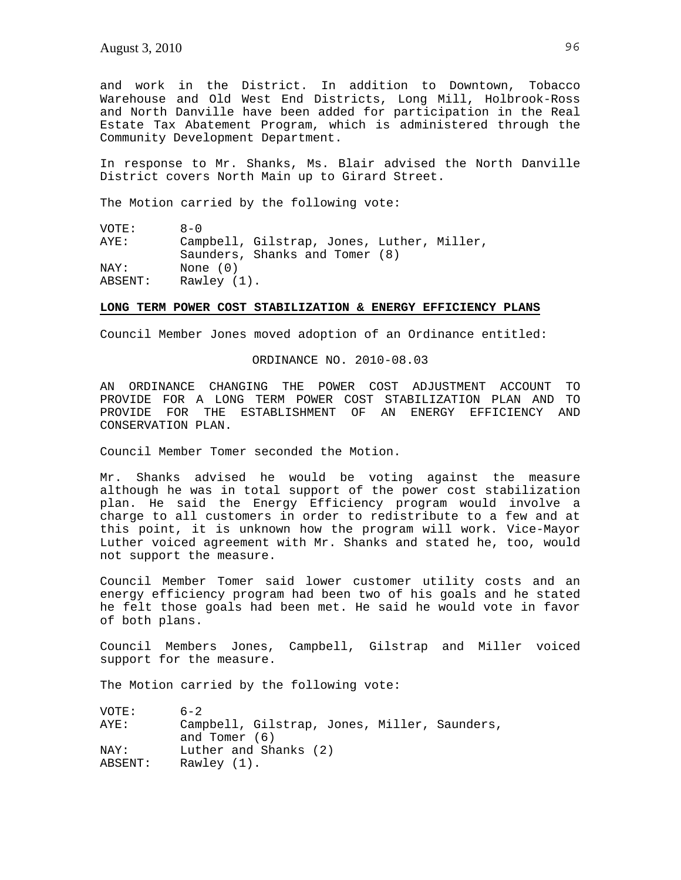and work in the District. In addition to Downtown, Tobacco Warehouse and Old West End Districts, Long Mill, Holbrook-Ross and North Danville have been added for participation in the Real Estate Tax Abatement Program, which is administered through the Community Development Department.

In response to Mr. Shanks, Ms. Blair advised the North Danville District covers North Main up to Girard Street.

The Motion carried by the following vote:

VOTE: 8-0 AYE: Campbell, Gilstrap, Jones, Luther, Miller, Saunders, Shanks and Tomer (8)<br>NAY: None (0) None (0) ABSENT: Rawley (1).

#### **LONG TERM POWER COST STABILIZATION & ENERGY EFFICIENCY PLANS**

Council Member Jones moved adoption of an Ordinance entitled:

ORDINANCE NO. 2010-08.03

AN ORDINANCE CHANGING THE POWER COST ADJUSTMENT ACCOUNT TO PROVIDE FOR A LONG TERM POWER COST STABILIZATION PLAN AND TO PROVIDE FOR THE ESTABLISHMENT OF AN ENERGY EFFICIENCY AND CONSERVATION PLAN.

Council Member Tomer seconded the Motion.

Mr. Shanks advised he would be voting against the measure although he was in total support of the power cost stabilization plan. He said the Energy Efficiency program would involve a charge to all customers in order to redistribute to a few and at this point, it is unknown how the program will work. Vice-Mayor Luther voiced agreement with Mr. Shanks and stated he, too, would not support the measure.

Council Member Tomer said lower customer utility costs and an energy efficiency program had been two of his goals and he stated he felt those goals had been met. He said he would vote in favor of both plans.

Council Members Jones, Campbell, Gilstrap and Miller voiced support for the measure.

The Motion carried by the following vote:

| VOTE:   | $6 - 2$                                      |
|---------|----------------------------------------------|
| AYE:    | Campbell, Gilstrap, Jones, Miller, Saunders, |
|         | and Tomer (6)                                |
| NAY:    | Luther and Shanks (2)                        |
| ABSENT: | Rawley (1).                                  |